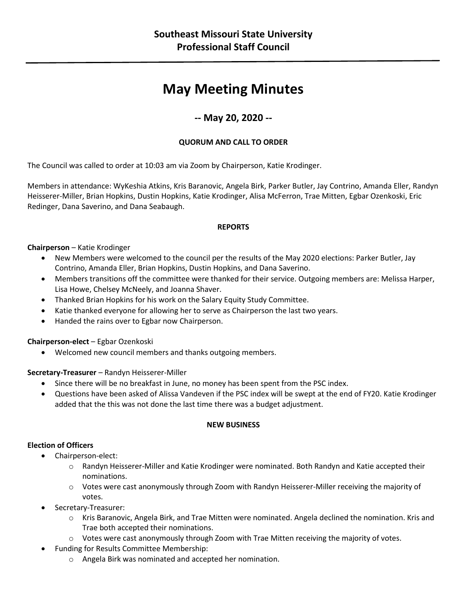# **May Meeting Minutes**

# **-- May 20, 2020 --**

# **QUORUM AND CALL TO ORDER**

The Council was called to order at 10:03 am via Zoom by Chairperson, Katie Krodinger.

Members in attendance: WyKeshia Atkins, Kris Baranovic, Angela Birk, Parker Butler, Jay Contrino, Amanda Eller, Randyn Heisserer-Miller, Brian Hopkins, Dustin Hopkins, Katie Krodinger, Alisa McFerron, Trae Mitten, Egbar Ozenkoski, Eric Redinger, Dana Saverino, and Dana Seabaugh.

#### **REPORTS**

#### **Chairperson** – Katie Krodinger

- New Members were welcomed to the council per the results of the May 2020 elections: Parker Butler, Jay Contrino, Amanda Eller, Brian Hopkins, Dustin Hopkins, and Dana Saverino.
- Members transitions off the committee were thanked for their service. Outgoing members are: Melissa Harper, Lisa Howe, Chelsey McNeely, and Joanna Shaver.
- Thanked Brian Hopkins for his work on the Salary Equity Study Committee.
- Katie thanked everyone for allowing her to serve as Chairperson the last two years.
- Handed the rains over to Egbar now Chairperson.

# **Chairperson-elect** – Egbar Ozenkoski

• Welcomed new council members and thanks outgoing members.

# **Secretary-Treasurer** – Randyn Heisserer-Miller

- Since there will be no breakfast in June, no money has been spent from the PSC index.
- Questions have been asked of Alissa Vandeven if the PSC index will be swept at the end of FY20. Katie Krodinger added that the this was not done the last time there was a budget adjustment.

#### **NEW BUSINESS**

#### **Election of Officers**

- Chairperson-elect:
	- $\circ$  Randyn Heisserer-Miller and Katie Krodinger were nominated. Both Randyn and Katie accepted their nominations.
	- $\circ$  Votes were cast anonymously through Zoom with Randyn Heisserer-Miller receiving the majority of votes.
- Secretary-Treasurer:
	- o Kris Baranovic, Angela Birk, and Trae Mitten were nominated. Angela declined the nomination. Kris and Trae both accepted their nominations.
	- $\circ$  Votes were cast anonymously through Zoom with Trae Mitten receiving the majority of votes.
- Funding for Results Committee Membership:
	- o Angela Birk was nominated and accepted her nomination.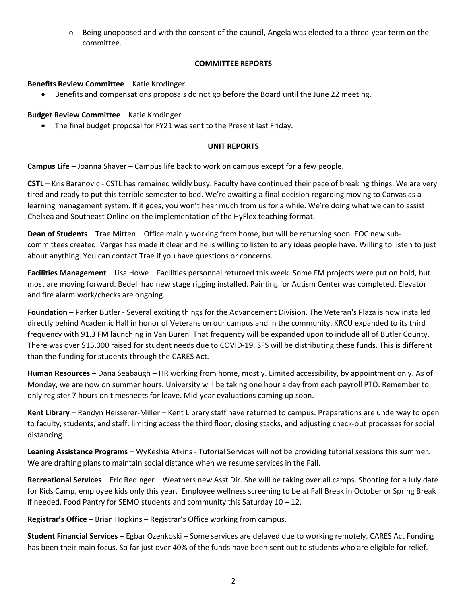$\circ$  Being unopposed and with the consent of the council, Angela was elected to a three-year term on the committee.

#### **COMMITTEE REPORTS**

#### **Benefits Review Committee** – Katie Krodinger

• Benefits and compensations proposals do not go before the Board until the June 22 meeting.

#### **Budget Review Committee** – Katie Krodinger

• The final budget proposal for FY21 was sent to the Present last Friday.

#### **UNIT REPORTS**

**Campus Life** – Joanna Shaver – Campus life back to work on campus except for a few people.

**CSTL** – Kris Baranovic - CSTL has remained wildly busy. Faculty have continued their pace of breaking things. We are very tired and ready to put this terrible semester to bed. We're awaiting a final decision regarding moving to Canvas as a learning management system. If it goes, you won't hear much from us for a while. We're doing what we can to assist Chelsea and Southeast Online on the implementation of the HyFlex teaching format.

**Dean of Students** – Trae Mitten – Office mainly working from home, but will be returning soon. EOC new subcommittees created. Vargas has made it clear and he is willing to listen to any ideas people have. Willing to listen to just about anything. You can contact Trae if you have questions or concerns.

**Facilities Management** – Lisa Howe – Facilities personnel returned this week. Some FM projects were put on hold, but most are moving forward. Bedell had new stage rigging installed. Painting for Autism Center was completed. Elevator and fire alarm work/checks are ongoing.

**Foundation** – Parker Butler - Several exciting things for the Advancement Division. The Veteran's Plaza is now installed directly behind Academic Hall in honor of Veterans on our campus and in the community. KRCU expanded to its third frequency with 91.3 FM launching in Van Buren. That frequency will be expanded upon to include all of Butler County. There was over \$15,000 raised for student needs due to COVID-19. SFS will be distributing these funds. This is different than the funding for students through the CARES Act.

**Human Resources** – Dana Seabaugh – HR working from home, mostly. Limited accessibility, by appointment only. As of Monday, we are now on summer hours. University will be taking one hour a day from each payroll PTO. Remember to only register 7 hours on timesheets for leave. Mid-year evaluations coming up soon.

**Kent Library** – Randyn Heisserer-Miller – Kent Library staff have returned to campus. Preparations are underway to open to faculty, students, and staff: limiting access the third floor, closing stacks, and adjusting check-out processes for social distancing.

**Leaning Assistance Programs** – WyKeshia Atkins - Tutorial Services will not be providing tutorial sessions this summer. We are drafting plans to maintain social distance when we resume services in the Fall.

**Recreational Services** – Eric Redinger – Weathers new Asst Dir. She will be taking over all camps. Shooting for a July date for Kids Camp, employee kids only this year. Employee wellness screening to be at Fall Break in October or Spring Break if needed. Food Pantry for SEMO students and community this Saturday 10 – 12.

**Registrar's Office** – Brian Hopkins – Registrar's Office working from campus.

**Student Financial Services** – Egbar Ozenkoski – Some services are delayed due to working remotely. CARES Act Funding has been their main focus. So far just over 40% of the funds have been sent out to students who are eligible for relief.